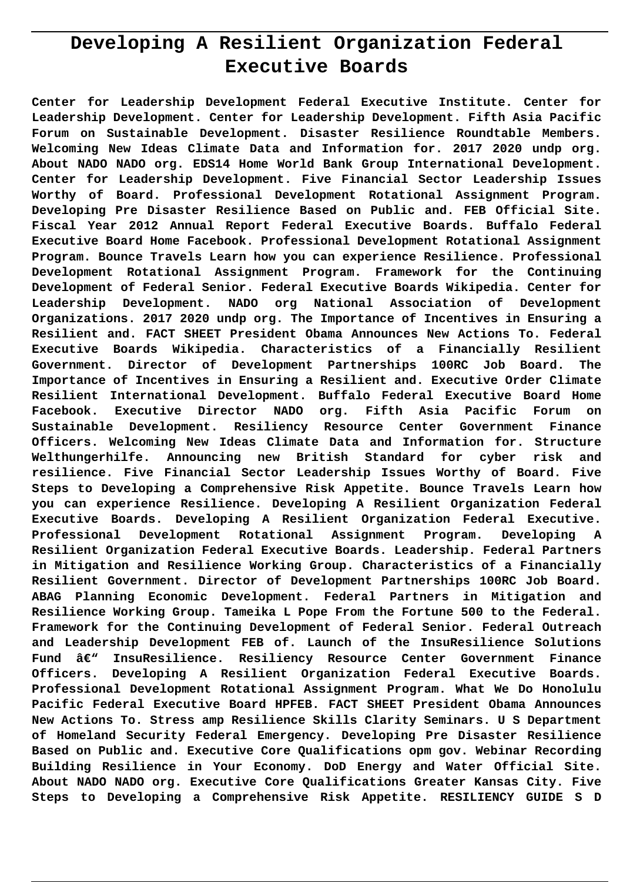# **Developing A Resilient Organization Federal Executive Boards**

**Center for Leadership Development Federal Executive Institute. Center for Leadership Development. Center for Leadership Development. Fifth Asia Pacific Forum on Sustainable Development. Disaster Resilience Roundtable Members. Welcoming New Ideas Climate Data and Information for. 2017 2020 undp org. About NADO NADO org. EDS14 Home World Bank Group International Development. Center for Leadership Development. Five Financial Sector Leadership Issues Worthy of Board. Professional Development Rotational Assignment Program. Developing Pre Disaster Resilience Based on Public and. FEB Official Site. Fiscal Year 2012 Annual Report Federal Executive Boards. Buffalo Federal Executive Board Home Facebook. Professional Development Rotational Assignment Program. Bounce Travels Learn how you can experience Resilience. Professional Development Rotational Assignment Program. Framework for the Continuing Development of Federal Senior. Federal Executive Boards Wikipedia. Center for Leadership Development. NADO org National Association of Development Organizations. 2017 2020 undp org. The Importance of Incentives in Ensuring a Resilient and. FACT SHEET President Obama Announces New Actions To. Federal Executive Boards Wikipedia. Characteristics of a Financially Resilient Government. Director of Development Partnerships 100RC Job Board. The Importance of Incentives in Ensuring a Resilient and. Executive Order Climate Resilient International Development. Buffalo Federal Executive Board Home Facebook. Executive Director NADO org. Fifth Asia Pacific Forum on Sustainable Development. Resiliency Resource Center Government Finance Officers. Welcoming New Ideas Climate Data and Information for. Structure Welthungerhilfe. Announcing new British Standard for cyber risk and resilience. Five Financial Sector Leadership Issues Worthy of Board. Five Steps to Developing a Comprehensive Risk Appetite. Bounce Travels Learn how you can experience Resilience. Developing A Resilient Organization Federal Executive Boards. Developing A Resilient Organization Federal Executive. Professional Development Rotational Assignment Program. Developing A Resilient Organization Federal Executive Boards. Leadership. Federal Partners in Mitigation and Resilience Working Group. Characteristics of a Financially Resilient Government. Director of Development Partnerships 100RC Job Board. ABAG Planning Economic Development. Federal Partners in Mitigation and Resilience Working Group. Tameika L Pope From the Fortune 500 to the Federal. Framework for the Continuing Development of Federal Senior. Federal Outreach and Leadership Development FEB of. Launch of the InsuResilience Solutions Fund – InsuResilience. Resiliency Resource Center Government Finance Officers. Developing A Resilient Organization Federal Executive Boards. Professional Development Rotational Assignment Program. What We Do Honolulu Pacific Federal Executive Board HPFEB. FACT SHEET President Obama Announces New Actions To. Stress amp Resilience Skills Clarity Seminars. U S Department of Homeland Security Federal Emergency. Developing Pre Disaster Resilience Based on Public and. Executive Core Qualifications opm gov. Webinar Recording Building Resilience in Your Economy. DoD Energy and Water Official Site. About NADO NADO org. Executive Core Qualifications Greater Kansas City. Five Steps to Developing a Comprehensive Risk Appetite. RESILIENCY GUIDE S D**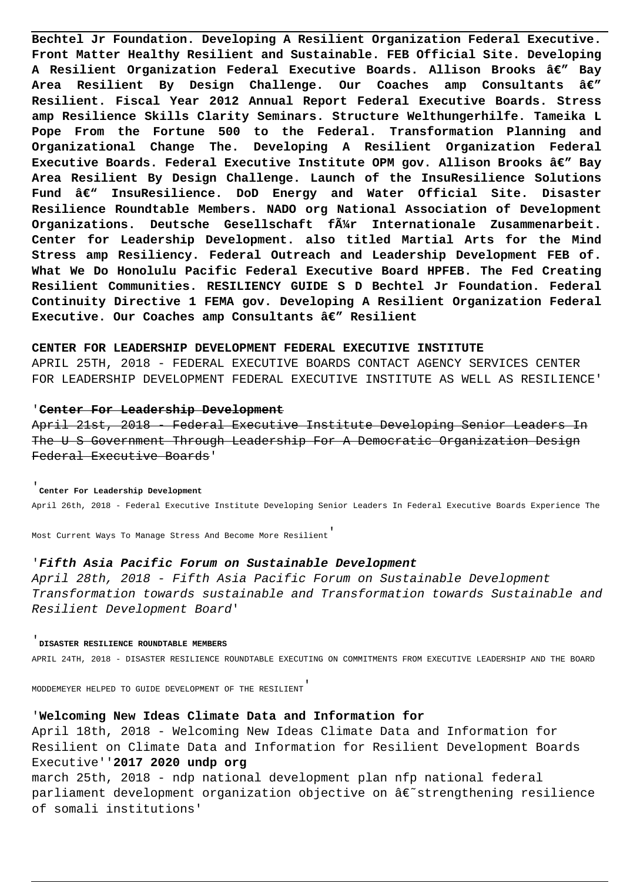**Bechtel Jr Foundation. Developing A Resilient Organization Federal Executive. Front Matter Healthy Resilient and Sustainable. FEB Official Site. Developing** A Resilient Organization Federal Executive Boards. Allison Brooks â€" Bay **Area Resilient By Design Challenge. Our Coaches amp Consultants — Resilient. Fiscal Year 2012 Annual Report Federal Executive Boards. Stress amp Resilience Skills Clarity Seminars. Structure Welthungerhilfe. Tameika L Pope From the Fortune 500 to the Federal. Transformation Planning and Organizational Change The. Developing A Resilient Organization Federal Executive Boards. Federal Executive Institute OPM gov. Allison Brooks â€" Bay Area Resilient By Design Challenge. Launch of the InsuResilience Solutions** Fund â€<sup>w</sup> InsuResilience. DoD Energy and Water Official Site. Disaster **Resilience Roundtable Members. NADO org National Association of Development Organizations. Deutsche Gesellschaft für Internationale Zusammenarbeit. Center for Leadership Development. also titled Martial Arts for the Mind Stress amp Resiliency. Federal Outreach and Leadership Development FEB of. What We Do Honolulu Pacific Federal Executive Board HPFEB. The Fed Creating Resilient Communities. RESILIENCY GUIDE S D Bechtel Jr Foundation. Federal Continuity Directive 1 FEMA gov. Developing A Resilient Organization Federal** Executive. Our Coaches amp Consultants â€" Resilient

# **CENTER FOR LEADERSHIP DEVELOPMENT FEDERAL EXECUTIVE INSTITUTE**

APRIL 25TH, 2018 - FEDERAL EXECUTIVE BOARDS CONTACT AGENCY SERVICES CENTER FOR LEADERSHIP DEVELOPMENT FEDERAL EXECUTIVE INSTITUTE AS WELL AS RESILIENCE'

## '**Center For Leadership Development**

April 21st, 2018 - Federal Executive Institute Developing Senior Leaders In The U S Government Through Leadership For A Democratic Organization Design Federal Executive Boards'

## '**Center For Leadership Development**

April 26th, 2018 - Federal Executive Institute Developing Senior Leaders In Federal Executive Boards Experience The

Most Current Ways To Manage Stress And Become More Resilient'

# '**Fifth Asia Pacific Forum on Sustainable Development**

April 28th, 2018 - Fifth Asia Pacific Forum on Sustainable Development Transformation towards sustainable and Transformation towards Sustainable and Resilient Development Board'

#### '**DISASTER RESILIENCE ROUNDTABLE MEMBERS**

APRIL 24TH, 2018 - DISASTER RESILIENCE ROUNDTABLE EXECUTING ON COMMITMENTS FROM EXECUTIVE LEADERSHIP AND THE BOARD

MODDEMEYER HELPED TO GUIDE DEVELOPMENT OF THE RESILIENT'

# '**Welcoming New Ideas Climate Data and Information for**

April 18th, 2018 - Welcoming New Ideas Climate Data and Information for Resilient on Climate Data and Information for Resilient Development Boards Executive''**2017 2020 undp org**

march 25th, 2018 - ndp national development plan nfp national federal parliament development organization objective on  $\hat{\alpha} \in \hat{\beta}$  strengthening resilience of somali institutions'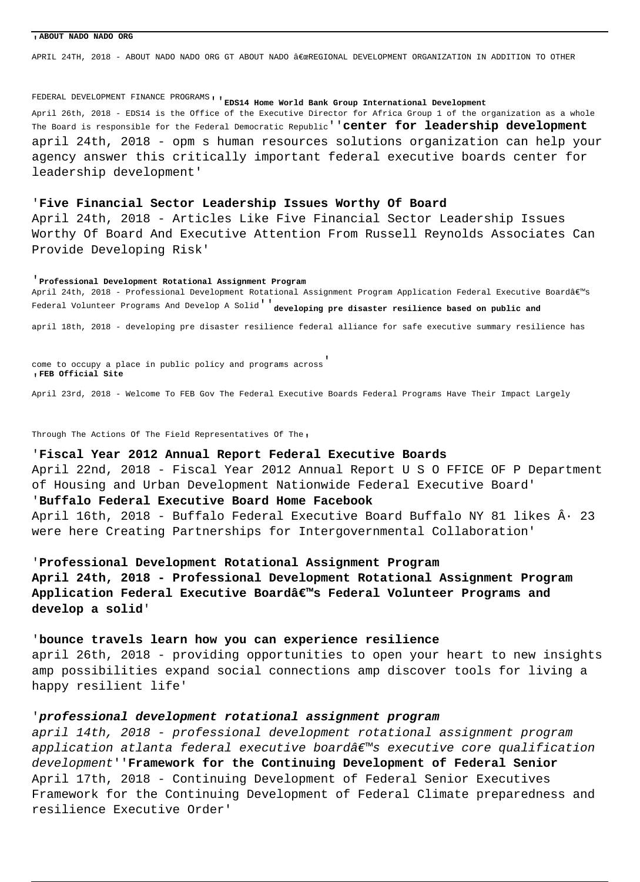#### '**ABOUT NADO NADO ORG**

APRIL 24TH, 2018 - ABOUT NADO NADO ORG GT ABOUT NADO "REGIONAL DEVELOPMENT ORGANIZATION IN ADDITION TO OTHER

FEDERAL DEVELOPMENT FINANCE PROGRAMS<sub>'</sub>'EDS14 Home World Bank Group International Development April 26th, 2018 - EDS14 is the Office of the Executive Director for Africa Group 1 of the organization as a whole The Board is responsible for the Federal Democratic Republic''**center for leadership development** april 24th, 2018 - opm s human resources solutions organization can help your agency answer this critically important federal executive boards center for leadership development'

# '**Five Financial Sector Leadership Issues Worthy Of Board**

April 24th, 2018 - Articles Like Five Financial Sector Leadership Issues Worthy Of Board And Executive Attention From Russell Reynolds Associates Can Provide Developing Risk'

#### '**Professional Development Rotational Assignment Program**

April 24th, 2018 - Professional Development Rotational Assignment Program Application Federal Executive Board's Federal Volunteer Programs And Develop A Solid''**developing pre disaster resilience based on public and**

april 18th, 2018 - developing pre disaster resilience federal alliance for safe executive summary resilience has

come to occupy a place in public policy and programs across' '**FEB Official Site**

April 23rd, 2018 - Welcome To FEB Gov The Federal Executive Boards Federal Programs Have Their Impact Largely

Through The Actions Of The Field Representatives Of The,

# '**Fiscal Year 2012 Annual Report Federal Executive Boards**

April 22nd, 2018 - Fiscal Year 2012 Annual Report U S O FFICE OF P Department of Housing and Urban Development Nationwide Federal Executive Board' '**Buffalo Federal Executive Board Home Facebook**

April 16th, 2018 - Buffalo Federal Executive Board Buffalo NY 81 likes  $\hat{A}$ · 23 were here Creating Partnerships for Intergovernmental Collaboration'

# '**Professional Development Rotational Assignment Program**

**April 24th, 2018 - Professional Development Rotational Assignment Program** Application Federal Executive Boardâ€<sup>™</sup>s Federal Volunteer Programs and **develop a solid**'

# '**bounce travels learn how you can experience resilience**

april 26th, 2018 - providing opportunities to open your heart to new insights amp possibilities expand social connections amp discover tools for living a happy resilient life'

# '**professional development rotational assignment program**

april 14th, 2018 - professional development rotational assignment program application atlanta federal executive board's executive core qualification development''**Framework for the Continuing Development of Federal Senior** April 17th, 2018 - Continuing Development of Federal Senior Executives Framework for the Continuing Development of Federal Climate preparedness and resilience Executive Order'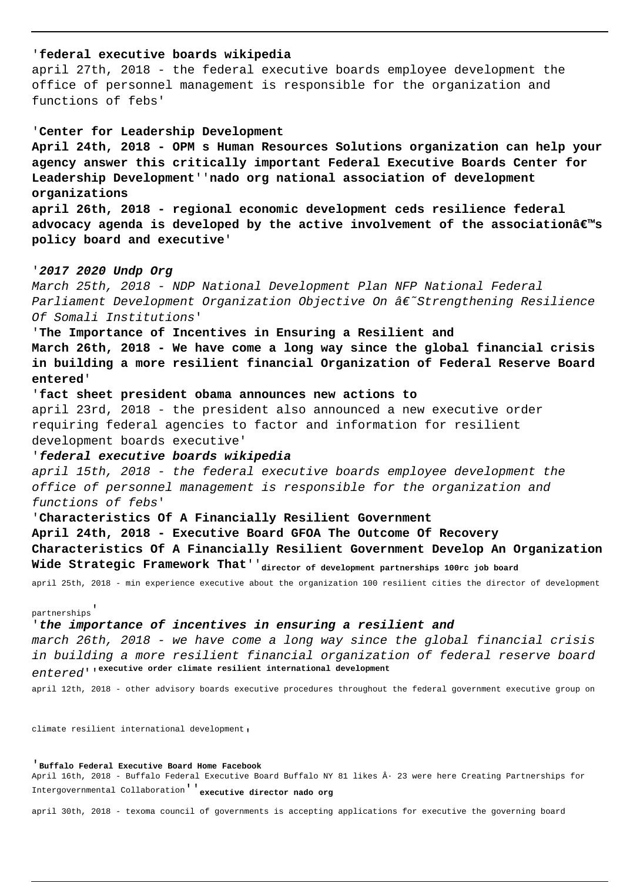# '**federal executive boards wikipedia**

april 27th, 2018 - the federal executive boards employee development the office of personnel management is responsible for the organization and functions of febs'

# '**Center for Leadership Development**

**April 24th, 2018 - OPM s Human Resources Solutions organization can help your agency answer this critically important Federal Executive Boards Center for Leadership Development**''**nado org national association of development organizations**

**april 26th, 2018 - regional economic development ceds resilience federal** advocacy agenda is developed by the active involvement of the associationâ $\varepsilon$ <sup>m</sup>s **policy board and executive**'

# '**2017 2020 Undp Org**

March 25th, 2018 - NDP National Development Plan NFP National Federal Parliament Development Organization Objective On  $\hat{a}\epsilon$ ~Strengthening Resilience Of Somali Institutions'

'**The Importance of Incentives in Ensuring a Resilient and**

**March 26th, 2018 - We have come a long way since the global financial crisis in building a more resilient financial Organization of Federal Reserve Board entered**'

# '**fact sheet president obama announces new actions to** april 23rd, 2018 - the president also announced a new executive order

requiring federal agencies to factor and information for resilient development boards executive'

# '**federal executive boards wikipedia**

april 15th, 2018 - the federal executive boards employee development the office of personnel management is responsible for the organization and functions of febs'

# '**Characteristics Of A Financially Resilient Government**

**April 24th, 2018 - Executive Board GFOA The Outcome Of Recovery Characteristics Of A Financially Resilient Government Develop An Organization Wide Strategic Framework That**''**director of development partnerships 100rc job board**

april 25th, 2018 - min experience executive about the organization 100 resilient cities the director of development

# partnerships'

# '**the importance of incentives in ensuring a resilient and**

march 26th, 2018 - we have come a long way since the global financial crisis in building a more resilient financial organization of federal reserve board entered''**executive order climate resilient international development**

april 12th, 2018 - other advisory boards executive procedures throughout the federal government executive group on

climate resilient international development'

# '**Buffalo Federal Executive Board Home Facebook**

April 16th, 2018 - Buffalo Federal Executive Board Buffalo NY 81 likes · 23 were here Creating Partnerships for Intergovernmental Collaboration''**executive director nado org**

april 30th, 2018 - texoma council of governments is accepting applications for executive the governing board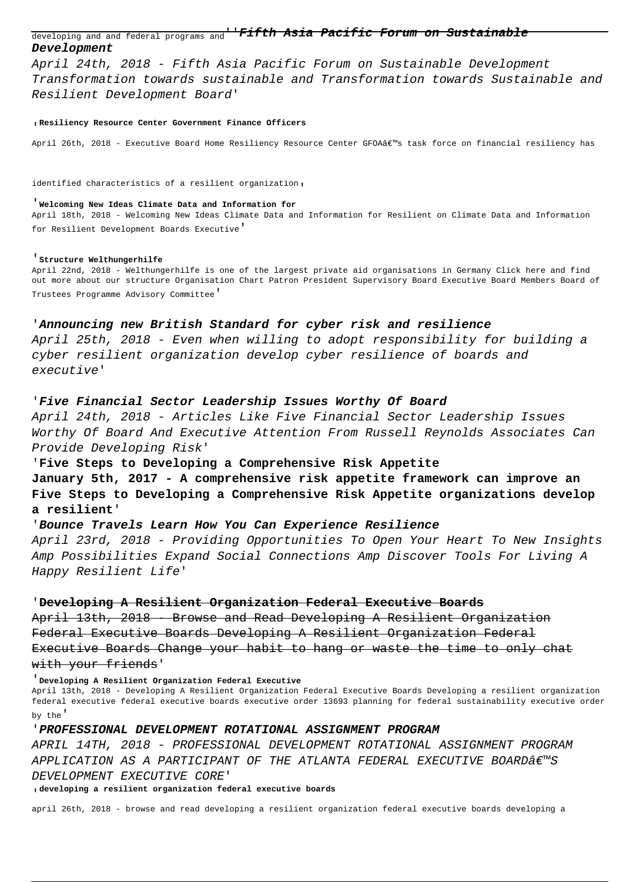developing and and federal programs and''**Fifth Asia Pacific Forum on Sustainable Development**

April 24th, 2018 - Fifth Asia Pacific Forum on Sustainable Development Transformation towards sustainable and Transformation towards Sustainable and Resilient Development Board'

#### '**Resiliency Resource Center Government Finance Officers**

April 26th, 2018 - Executive Board Home Resiliency Resource Center GFOA's task force on financial resiliency has

identified characteristics of a resilient organization'

# '**Welcoming New Ideas Climate Data and Information for**

April 18th, 2018 - Welcoming New Ideas Climate Data and Information for Resilient on Climate Data and Information for Resilient Development Boards Executive'

# '**Structure Welthungerhilfe**

April 22nd, 2018 - Welthungerhilfe is one of the largest private aid organisations in Germany Click here and find out more about our structure Organisation Chart Patron President Supervisory Board Executive Board Members Board of Trustees Programme Advisory Committee'

## '**Announcing new British Standard for cyber risk and resilience**

April 25th, 2018 - Even when willing to adopt responsibility for building a cyber resilient organization develop cyber resilience of boards and executive'

## '**Five Financial Sector Leadership Issues Worthy Of Board**

April 24th, 2018 - Articles Like Five Financial Sector Leadership Issues Worthy Of Board And Executive Attention From Russell Reynolds Associates Can Provide Developing Risk'

#### '**Five Steps to Developing a Comprehensive Risk Appetite**

**January 5th, 2017 - A comprehensive risk appetite framework can improve an Five Steps to Developing a Comprehensive Risk Appetite organizations develop a resilient**'

# '**Bounce Travels Learn How You Can Experience Resilience**

April 23rd, 2018 - Providing Opportunities To Open Your Heart To New Insights Amp Possibilities Expand Social Connections Amp Discover Tools For Living A Happy Resilient Life'

#### '**Developing A Resilient Organization Federal Executive Boards**

April 13th, 2018 - Browse and Read Developing A Resilient Organization Federal Executive Boards Developing A Resilient Organization Federal Executive Boards Change your habit to hang or waste the time to only chat with your friends'

'**Developing A Resilient Organization Federal Executive**

April 13th, 2018 - Developing A Resilient Organization Federal Executive Boards Developing a resilient organization federal executive federal executive boards executive order 13693 planning for federal sustainability executive order by the'

# '**PROFESSIONAL DEVELOPMENT ROTATIONAL ASSIGNMENT PROGRAM**

APRIL 14TH, 2018 - PROFESSIONAL DEVELOPMENT ROTATIONAL ASSIGNMENT PROGRAM APPLICATION AS A PARTICIPANT OF THE ATLANTA FEDERAL EXECUTIVE BOARD $\hat{\mathbf{a}}$  enso DEVELOPMENT EXECUTIVE CORE'

'**developing a resilient organization federal executive boards**

april 26th, 2018 - browse and read developing a resilient organization federal executive boards developing a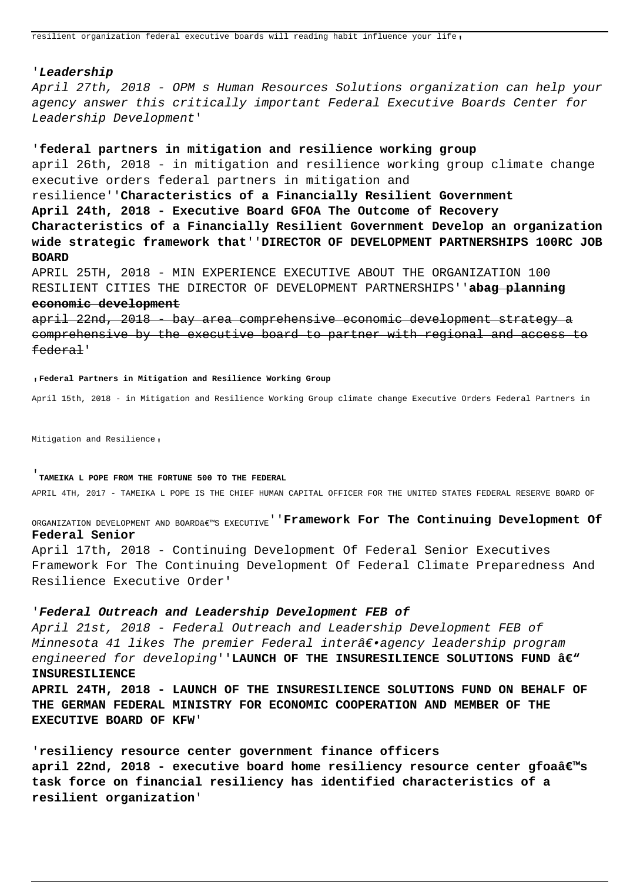#### '**Leadership**

April 27th, 2018 - OPM s Human Resources Solutions organization can help your agency answer this critically important Federal Executive Boards Center for Leadership Development'

# '**federal partners in mitigation and resilience working group**

april 26th, 2018 - in mitigation and resilience working group climate change executive orders federal partners in mitigation and resilience''**Characteristics of a Financially Resilient Government April 24th, 2018 - Executive Board GFOA The Outcome of Recovery Characteristics of a Financially Resilient Government Develop an organization wide strategic framework that**''**DIRECTOR OF DEVELOPMENT PARTNERSHIPS 100RC JOB BOARD**

APRIL 25TH, 2018 - MIN EXPERIENCE EXECUTIVE ABOUT THE ORGANIZATION 100 RESILIENT CITIES THE DIRECTOR OF DEVELOPMENT PARTNERSHIPS''**abag planning**

# **economic development**

april 22nd, 2018 - bay area comprehensive economic development strategy a comprehensive by the executive board to partner with regional and access to federal'

#### '**Federal Partners in Mitigation and Resilience Working Group**

April 15th, 2018 - in Mitigation and Resilience Working Group climate change Executive Orders Federal Partners in

Mitigation and Resilience,

# '**TAMEIKA L POPE FROM THE FORTUNE 500 TO THE FEDERAL**

APRIL 4TH, 2017 - TAMEIKA L POPE IS THE CHIEF HUMAN CAPITAL OFFICER FOR THE UNITED STATES FEDERAL RESERVE BOARD OF

ORGANIZATION DEVELOPMENT AND BOARD€<sup>w</sup>S EXECUTIVE<sup>''</sup>**Framework For The Continuing Development Of Federal Senior**

April 17th, 2018 - Continuing Development Of Federal Senior Executives Framework For The Continuing Development Of Federal Climate Preparedness And Resilience Executive Order'

# '**Federal Outreach and Leadership Development FEB of**

April 21st, 2018 - Federal Outreach and Leadership Development FEB of Minnesota 41 likes The premier Federal interâ $\epsilon$ ·agency leadership program engineered for developing''LAUNCH OF THE INSURESILIENCE SOLUTIONS FUND â€<sup>w</sup> **INSURESILIENCE**

**APRIL 24TH, 2018 - LAUNCH OF THE INSURESILIENCE SOLUTIONS FUND ON BEHALF OF THE GERMAN FEDERAL MINISTRY FOR ECONOMIC COOPERATION AND MEMBER OF THE EXECUTIVE BOARD OF KFW**'

'**resiliency resource center government finance officers april 22nd, 2018 - executive board home resiliency resource center gfoaâ€**<sup>™</sup>s **task force on financial resiliency has identified characteristics of a resilient organization**'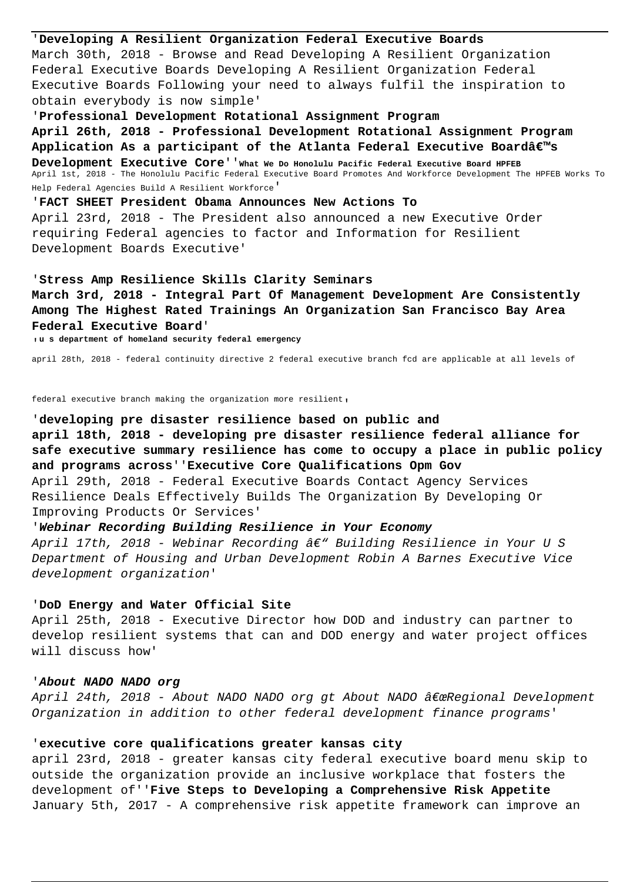'**Developing A Resilient Organization Federal Executive Boards** March 30th, 2018 - Browse and Read Developing A Resilient Organization Federal Executive Boards Developing A Resilient Organization Federal Executive Boards Following your need to always fulfil the inspiration to obtain everybody is now simple' '**Professional Development Rotational Assignment Program**

**April 26th, 2018 - Professional Development Rotational Assignment Program** Application As a participant of the Atlanta Federal Executive Boardâ€<sup>™</sup>s **Development Executive Core**''**What We Do Honolulu Pacific Federal Executive Board HPFEB** April 1st, 2018 - The Honolulu Pacific Federal Executive Board Promotes And Workforce Development The HPFEB Works To Help Federal Agencies Build A Resilient Workforce'

'**FACT SHEET President Obama Announces New Actions To** April 23rd, 2018 - The President also announced a new Executive Order requiring Federal agencies to factor and Information for Resilient Development Boards Executive'

#### '**Stress Amp Resilience Skills Clarity Seminars**

**March 3rd, 2018 - Integral Part Of Management Development Are Consistently Among The Highest Rated Trainings An Organization San Francisco Bay Area Federal Executive Board**'

'**u s department of homeland security federal emergency**

april 28th, 2018 - federal continuity directive 2 federal executive branch fcd are applicable at all levels of

federal executive branch making the organization more resilient,

'**developing pre disaster resilience based on public and april 18th, 2018 - developing pre disaster resilience federal alliance for safe executive summary resilience has come to occupy a place in public policy and programs across**''**Executive Core Qualifications Opm Gov** April 29th, 2018 - Federal Executive Boards Contact Agency Services Resilience Deals Effectively Builds The Organization By Developing Or Improving Products Or Services'

## '**Webinar Recording Building Resilience in Your Economy**

April 17th, 2018 - Webinar Recording â $\epsilon$ " Building Resilience in Your U S Department of Housing and Urban Development Robin A Barnes Executive Vice development organization'

# '**DoD Energy and Water Official Site**

April 25th, 2018 - Executive Director how DOD and industry can partner to develop resilient systems that can and DOD energy and water project offices will discuss how'

# '**About NADO NADO org**

April 24th, 2018 - About NADO NADO org gt About NADO "Regional Development Organization in addition to other federal development finance programs'

# '**executive core qualifications greater kansas city**

april 23rd, 2018 - greater kansas city federal executive board menu skip to outside the organization provide an inclusive workplace that fosters the development of''**Five Steps to Developing a Comprehensive Risk Appetite** January 5th, 2017 - A comprehensive risk appetite framework can improve an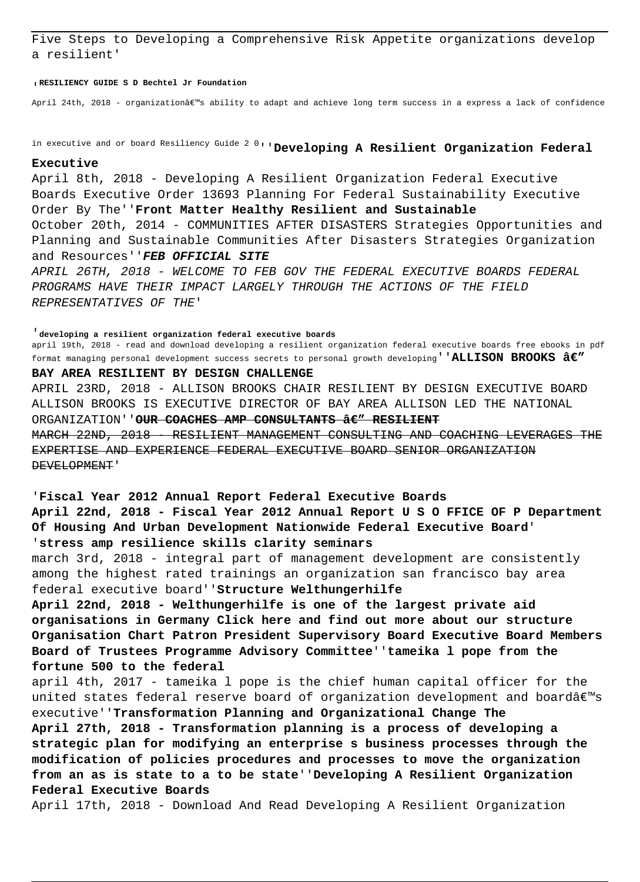Five Steps to Developing a Comprehensive Risk Appetite organizations develop a resilient'

'**RESILIENCY GUIDE S D Bechtel Jr Foundation**

April 24th, 2018 - organization's ability to adapt and achieve long term success in a express a lack of confidence

in executive and or board Resiliency Guide 2 0''**Developing A Resilient Organization Federal**

## **Executive**

April 8th, 2018 - Developing A Resilient Organization Federal Executive Boards Executive Order 13693 Planning For Federal Sustainability Executive Order By The''**Front Matter Healthy Resilient and Sustainable** October 20th, 2014 - COMMUNITIES AFTER DISASTERS Strategies Opportunities and Planning and Sustainable Communities After Disasters Strategies Organization and Resources''**FEB OFFICIAL SITE** APRIL 26TH, 2018 - WELCOME TO FEB GOV THE FEDERAL EXECUTIVE BOARDS FEDERAL PROGRAMS HAVE THEIR IMPACT LARGELY THROUGH THE ACTIONS OF THE FIELD REPRESENTATIVES OF THE'

'**developing a resilient organization federal executive boards** april 19th, 2018 - read and download developing a resilient organization federal executive boards free ebooks in pdf format managing personal development success secrets to personal growth developing''**ALLISON BROOKS — BAY AREA RESILIENT BY DESIGN CHALLENGE** APRIL 23RD, 2018 - ALLISON BROOKS CHAIR RESILIENT BY DESIGN EXECUTIVE BOARD ALLISON BROOKS IS EXECUTIVE DIRECTOR OF BAY AREA ALLISON LED THE NATIONAL ORGANIZATION''OUR COACHES AMP CONSULTANTS **â**E" RESILIENT MARCH 22ND, 2018 - RESILIENT MANAGEMENT CONSULTING AND COACHING LEVERAGES THE EXPERTISE AND EXPERIENCE FEDERAL EXECUTIVE BOARD SENIOR ORGANIZATION DEVELOPMENT'

## '**Fiscal Year 2012 Annual Report Federal Executive Boards**

**April 22nd, 2018 - Fiscal Year 2012 Annual Report U S O FFICE OF P Department Of Housing And Urban Development Nationwide Federal Executive Board**' '**stress amp resilience skills clarity seminars**

march 3rd, 2018 - integral part of management development are consistently among the highest rated trainings an organization san francisco bay area federal executive board''**Structure Welthungerhilfe**

**April 22nd, 2018 - Welthungerhilfe is one of the largest private aid organisations in Germany Click here and find out more about our structure Organisation Chart Patron President Supervisory Board Executive Board Members Board of Trustees Programme Advisory Committee**''**tameika l pope from the fortune 500 to the federal**

april 4th, 2017 - tameika l pope is the chief human capital officer for the united states federal reserve board of organization development and board $\hat{\mathbf{a}}\in\mathbb{M}$ executive''**Transformation Planning and Organizational Change The**

**April 27th, 2018 - Transformation planning is a process of developing a strategic plan for modifying an enterprise s business processes through the modification of policies procedures and processes to move the organization from an as is state to a to be state**''**Developing A Resilient Organization Federal Executive Boards**

April 17th, 2018 - Download And Read Developing A Resilient Organization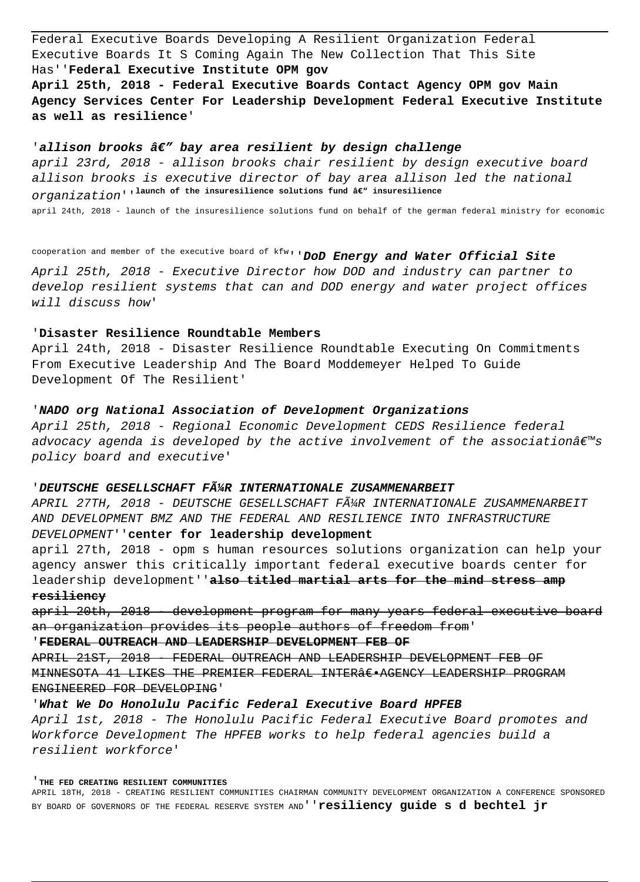Federal Executive Boards Developing A Resilient Organization Federal Executive Boards It S Coming Again The New Collection That This Site Has''**Federal Executive Institute OPM gov**

**April 25th, 2018 - Federal Executive Boards Contact Agency OPM gov Main Agency Services Center For Leadership Development Federal Executive Institute as well as resilience**'

# 'allison brooks â€" bay area resilient by design challenge

april 23rd, 2018 - allison brooks chair resilient by design executive board allison brooks is executive director of bay area allison led the national O*rganization'*'<sup>launch</sup> of the insuresilience solutions fund â€" insuresilience

april 24th, 2018 - launch of the insuresilience solutions fund on behalf of the german federal ministry for economic

cooperation and member of the executive board of kfw''**DoD Energy and Water Official Site**

April 25th, 2018 - Executive Director how DOD and industry can partner to develop resilient systems that can and DOD energy and water project offices will discuss how'

# '**Disaster Resilience Roundtable Members**

April 24th, 2018 - Disaster Resilience Roundtable Executing On Commitments From Executive Leadership And The Board Moddemeyer Helped To Guide Development Of The Resilient'

# '**NADO org National Association of Development Organizations**

April 25th, 2018 - Regional Economic Development CEDS Resilience federal advocacy agenda is developed by the active involvement of the association $\hat{\mathbf{a}}\in\mathbb{M}$ policy board and executive'

## '**DEUTSCHE GESELLSCHAFT FüR INTERNATIONALE ZUSAMMENARBEIT**

APRIL 27TH, 2018 - DEUTSCHE GESELLSCHAFT FļR INTERNATIONALE ZUSAMMENARBEIT AND DEVELOPMENT BMZ AND THE FEDERAL AND RESILIENCE INTO INFRASTRUCTURE DEVELOPMENT''**center for leadership development**

april 27th, 2018 - opm s human resources solutions organization can help your agency answer this critically important federal executive boards center for leadership development''**also titled martial arts for the mind stress amp resiliency**

april 20th, 2018 - development program for many years federal executive board an organization provides its people authors of freedom from'

'**FEDERAL OUTREACH AND LEADERSHIP DEVELOPMENT FEB OF**

APRIL 21ST, 2018 - FEDERAL OUTREACH AND LEADERSHIP DEVELOPMENT FEB OF MINNESOTA 41 LIKES THE PREMIER FEDERAL INTERÂE.AGENCY LEADERSHIP PROGRAM ENGINEERED FOR DEVELOPING'

# '**What We Do Honolulu Pacific Federal Executive Board HPFEB**

April 1st, 2018 - The Honolulu Pacific Federal Executive Board promotes and Workforce Development The HPFEB works to help federal agencies build a resilient workforce'

'**THE FED CREATING RESILIENT COMMUNITIES**

APRIL 18TH, 2018 - CREATING RESILIENT COMMUNITIES CHAIRMAN COMMUNITY DEVELOPMENT ORGANIZATION A CONFERENCE SPONSORED BY BOARD OF GOVERNORS OF THE FEDERAL RESERVE SYSTEM AND''**resiliency guide s d bechtel jr**